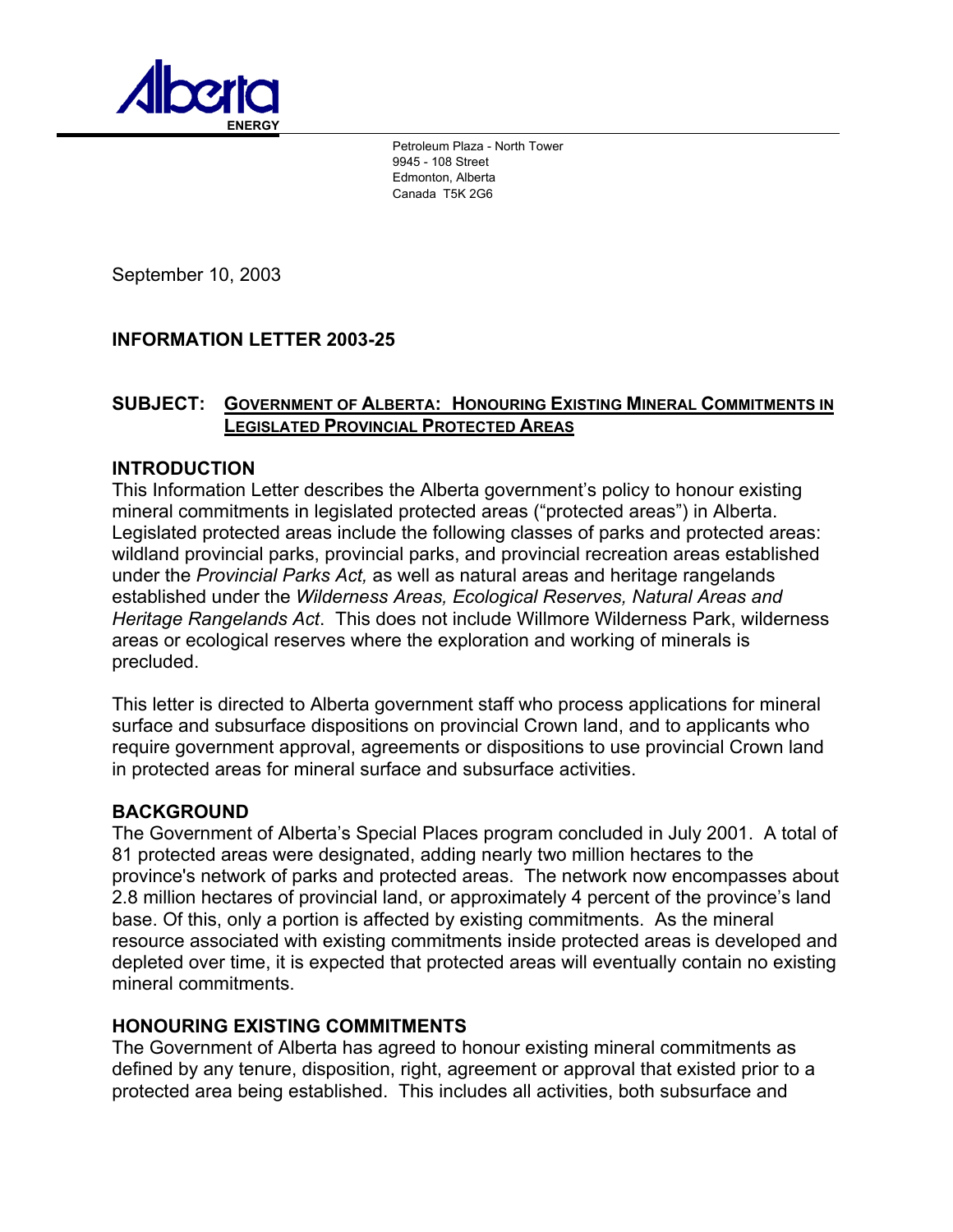

Petroleum Plaza - North Tower 9945 - 108 Street Edmonton, Alberta Canada T5K 2G6

September 10, 2003

# **INFORMATION LETTER 2003-25**

### **SUBJECT: GOVERNMENT OF ALBERTA: HONOURING EXISTING MINERAL COMMITMENTS IN LEGISLATED PROVINCIAL PROTECTED AREAS**

## **INTRODUCTION**

This Information Letter describes the Alberta government's policy to honour existing mineral commitments in legislated protected areas ("protected areas") in Alberta. Legislated protected areas include the following classes of parks and protected areas: wildland provincial parks, provincial parks, and provincial recreation areas established under the *Provincial Parks Act,* as well as natural areas and heritage rangelands established under the *Wilderness Areas, Ecological Reserves, Natural Areas and Heritage Rangelands Act*. This does not include Willmore Wilderness Park, wilderness areas or ecological reserves where the exploration and working of minerals is precluded.

This letter is directed to Alberta government staff who process applications for mineral surface and subsurface dispositions on provincial Crown land, and to applicants who require government approval, agreements or dispositions to use provincial Crown land in protected areas for mineral surface and subsurface activities.

# **BACKGROUND**

The Government of Alberta's Special Places program concluded in July 2001. A total of 81 protected areas were designated, adding nearly two million hectares to the province's network of parks and protected areas. The network now encompasses about 2.8 million hectares of provincial land, or approximately 4 percent of the province's land base. Of this, only a portion is affected by existing commitments. As the mineral resource associated with existing commitments inside protected areas is developed and depleted over time, it is expected that protected areas will eventually contain no existing mineral commitments.

### **HONOURING EXISTING COMMITMENTS**

The Government of Alberta has agreed to honour existing mineral commitments as defined by any tenure, disposition, right, agreement or approval that existed prior to a protected area being established. This includes all activities, both subsurface and